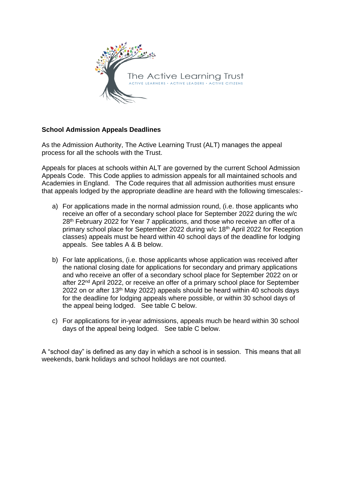

## **School Admission Appeals Deadlines**

As the Admission Authority, The Active Learning Trust (ALT) manages the appeal process for all the schools with the Trust.

Appeals for places at schools within ALT are governed by the current School Admission Appeals Code. This Code applies to admission appeals for all maintained schools and Academies in England. The Code requires that all admission authorities must ensure that appeals lodged by the appropriate deadline are heard with the following timescales:-

- a) For applications made in the normal admission round, (i.e. those applicants who receive an offer of a secondary school place for September 2022 during the w/c 28<sup>th</sup> February 2022 for Year 7 applications, and those who receive an offer of a primary school place for September 2022 during w/c 18th April 2022 for Reception classes) appeals must be heard within 40 school days of the deadline for lodging appeals. See tables A & B below.
- b) For late applications, (i.e. those applicants whose application was received after the national closing date for applications for secondary and primary applications and who receive an offer of a secondary school place for September 2022 on or after 22nd April 2022, or receive an offer of a primary school place for September 2022 on or after 13<sup>th</sup> May 2022) appeals should be heard within 40 schools days for the deadline for lodging appeals where possible, or within 30 school days of the appeal being lodged. See table C below.
- c) For applications for in-year admissions, appeals much be heard within 30 school days of the appeal being lodged. See table C below.

A "school day" is defined as any day in which a school is in session. This means that all weekends, bank holidays and school holidays are not counted.